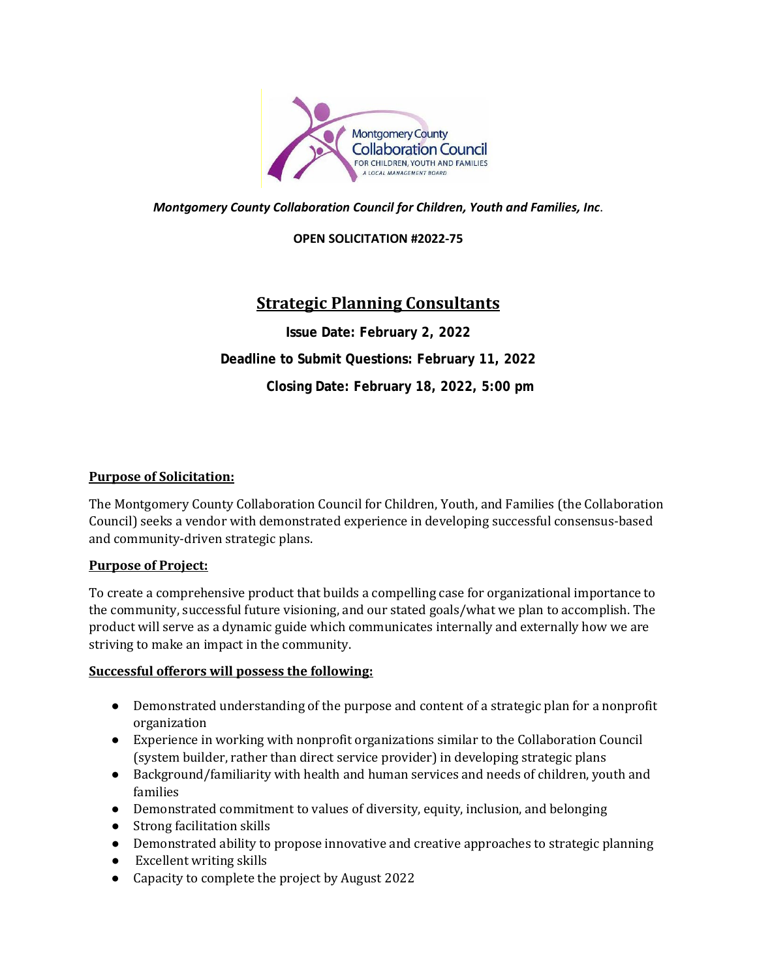

*Montgomery County Collaboration Council for Children, Youth and Families, Inc*.

#### **OPEN SOLICITATION #2022-75**

# **Strategic Planning Consultants**

**Issue Date: February 2, 2022 Deadline to Submit Questions: February 11, 2022 Closing Date: February 18, 2022, 5:00 pm**

#### **Purpose of Solicitation:**

The Montgomery County Collaboration Council for Children, Youth, and Families (the Collaboration Council) seeks a vendor with demonstrated experience in developing successful consensus-based and community-driven strategic plans.

#### **Purpose of Project:**

To create a comprehensive product that builds a compelling case for organizational importance to the community, successful future visioning, and our stated goals/what we plan to accomplish. The product will serve as a dynamic guide which communicates internally and externally how we are striving to make an impact in the community.

#### **Successful offerors will possess the following:**

- Demonstrated understanding of the purpose and content of a strategic plan for a nonprofit organization
- Experience in working with nonprofit organizations similar to the Collaboration Council (system builder, rather than direct service provider) in developing strategic plans
- Background/familiarity with health and human services and needs of children, youth and families
- Demonstrated commitment to values of diversity, equity, inclusion, and belonging
- Strong facilitation skills
- Demonstrated ability to propose innovative and creative approaches to strategic planning
- Excellent writing skills
- Capacity to complete the project by August 2022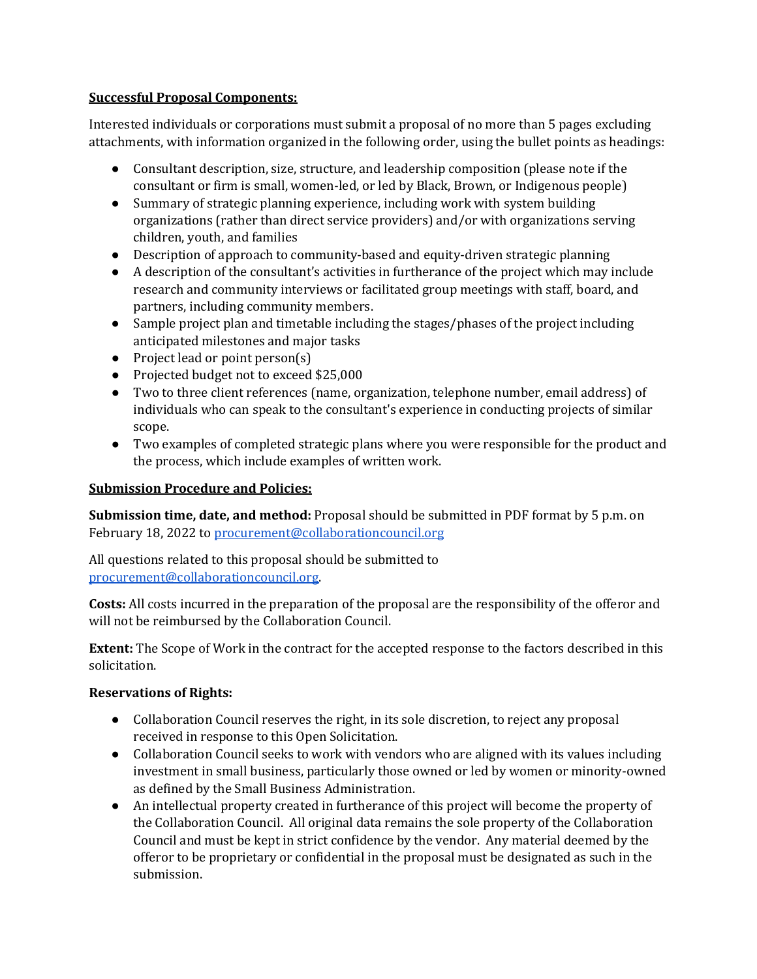### **Successful Proposal Components:**

Interested individuals or corporations must submit a proposal of no more than 5 pages excluding attachments, with information organized in the following order, using the bullet points as headings:

- Consultant description, size, structure, and leadership composition (please note if the consultant or firm is small, women-led, or led by Black, Brown, or Indigenous people)
- Summary of strategic planning experience, including work with system building organizations (rather than direct service providers) and/or with organizations serving children, youth, and families
- Description of approach to community-based and equity-driven strategic planning
- A description of the consultant's activities in furtherance of the project which may include research and community interviews or facilitated group meetings with staff, board, and partners, including community members.
- Sample project plan and timetable including the stages/phases of the project including anticipated milestones and major tasks
- Project lead or point person(s)
- Projected budget not to exceed \$25,000
- Two to three client references (name, organization, telephone number, email address) of individuals who can speak to the consultant's experience in conducting projects of similar scope.
- Two examples of completed strategic plans where you were responsible for the product and the process, which include examples of written work.

## **Submission Procedure and Policies:**

**Submission time, date, and method:** Proposal should be submitted in PDF format by 5 p.m. on February 18, 2022 t[o procurement@collaborationcouncil.org](mailto:procurement@collaborationcouncil.org)

All questions related to this proposal should be submitted to [procurement@collaborationcouncil.org.](mailto:procurement@collaborationcouncil.org)

**Costs:** All costs incurred in the preparation of the proposal are the responsibility of the offeror and will not be reimbursed by the Collaboration Council.

**Extent:** The Scope of Work in the contract for the accepted response to the factors described in this solicitation.

# **Reservations of Rights:**

- Collaboration Council reserves the right, in its sole discretion, to reject any proposal received in response to this Open Solicitation.
- Collaboration Council seeks to work with vendors who are aligned with its values including investment in small business, particularly those owned or led by women or minority-owned as defined by the Small Business Administration.
- An intellectual property created in furtherance of this project will become the property of the Collaboration Council. All original data remains the sole property of the Collaboration Council and must be kept in strict confidence by the vendor. Any material deemed by the offeror to be proprietary or confidential in the proposal must be designated as such in the submission.